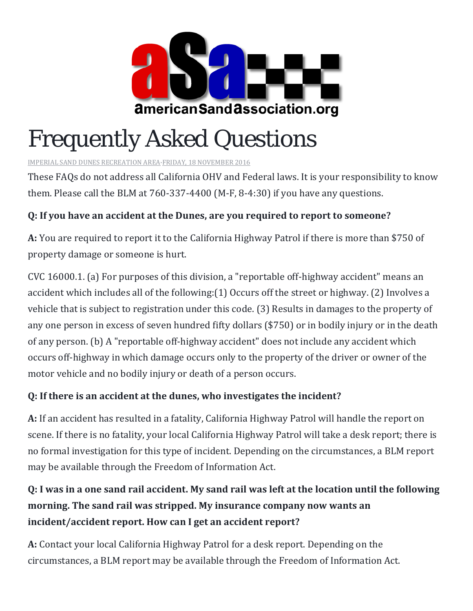

# Frequently Asked Questions

[IMPERIAL SAND DUNES RECREATION AREA](https://www.facebook.com/BLMImperialSandDunes/)[·FRIDAY, 18 NOVEMBER 2016](https://www.facebook.com/notes/imperial-sand-dunes-recreation-area/frequently-asked-questions/1316444655062125/)

These FAQs do not address all California OHV and Federal laws. It is your responsibility to know them. Please call the BLM at 760-337-4400 (M-F, 8-4:30) if you have any questions.

## **Q: If you have an accident at the Dunes, are you required to report to someone?**

**A:** You are required to report it to the California Highway Patrol if there is more than \$750 of property damage or someone is hurt.

CVC 16000.1. (a) For purposes of this division, a "reportable off-highway accident" means an accident which includes all of the following:(1) Occurs off the street or highway. (2) Involves a vehicle that is subject to registration under this code. (3) Results in damages to the property of any one person in excess of seven hundred fifty dollars (\$750) or in bodily injury or in the death of any person. (b) A "reportable off-highway accident" does not include any accident which occurs off-highway in which damage occurs only to the property of the driver or owner of the motor vehicle and no bodily injury or death of a person occurs.

#### **Q: If there is an accident at the dunes, who investigates the incident?**

**A:** If an accident has resulted in a fatality, California Highway Patrol will handle the report on scene. If there is no fatality, your local California Highway Patrol will take a desk report; there is no formal investigation for this type of incident. Depending on the circumstances, a BLM report may be available through the Freedom of Information Act.

# **Q: I was in a one sand rail accident. My sand rail was left at the location until the following morning. The sand rail was stripped. My insurance company now wants an incident/accident report. How can I get an accident report?**

**A:** Contact your local California Highway Patrol for a desk report. Depending on the circumstances, a BLM report may be available through the Freedom of Information Act.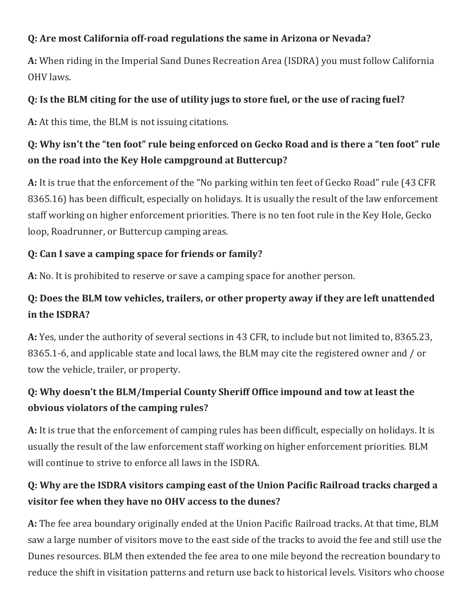#### **Q: Are most California off-road regulations the same in Arizona or Nevada?**

**A:** When riding in the Imperial Sand Dunes Recreation Area (ISDRA) you must follow California OHV laws.

#### **Q: Is the BLM citing for the use of utility jugs to store fuel, or the use of racing fuel?**

**A:** At this time, the BLM is not issuing citations.

## **Q: Why isn't the "ten foot" rule being enforced on Gecko Road and is there a "ten foot" rule on the road into the Key Hole campground at Buttercup?**

**A:** It is true that the enforcement of the "No parking within ten feet of Gecko Road" rule (43 CFR 8365.16) has been difficult, especially on holidays. It is usually the result of the law enforcement staff working on higher enforcement priorities. There is no ten foot rule in the Key Hole, Gecko loop, Roadrunner, or Buttercup camping areas.

## **Q: Can I save a camping space for friends or family?**

**A:** No. It is prohibited to reserve or save a camping space for another person.

## **Q: Does the BLM tow vehicles, trailers, or other property away if they are left unattended in the ISDRA?**

**A:** Yes, under the authority of several sections in 43 CFR, to include but not limited to, 8365.23, 8365.1-6, and applicable state and local laws, the BLM may cite the registered owner and / or tow the vehicle, trailer, or property.

# **Q: Why doesn't the BLM/Imperial County Sheriff Office impound and tow at least the obvious violators of the camping rules?**

**A:** It is true that the enforcement of camping rules has been difficult, especially on holidays. It is usually the result of the law enforcement staff working on higher enforcement priorities. BLM will continue to strive to enforce all laws in the ISDRA.

## **Q: Why are the ISDRA visitors camping east of the Union Pacific Railroad tracks charged a visitor fee when they have no OHV access to the dunes?**

**A:** The fee area boundary originally ended at the Union Pacific Railroad tracks. At that time, BLM saw a large number of visitors move to the east side of the tracks to avoid the fee and still use the Dunes resources. BLM then extended the fee area to one mile beyond the recreation boundary to reduce the shift in visitation patterns and return use back to historical levels. Visitors who choose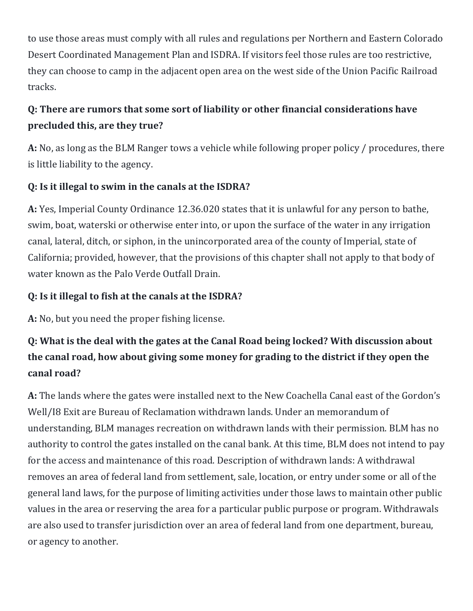to use those areas must comply with all rules and regulations per Northern and Eastern Colorado Desert Coordinated Management Plan and ISDRA. If visitors feel those rules are too restrictive, they can choose to camp in the adjacent open area on the west side of the Union Pacific Railroad tracks.

## **Q: There are rumors that some sort of liability or other financial considerations have precluded this, are they true?**

**A:** No, as long as the BLM Ranger tows a vehicle while following proper policy / procedures, there is little liability to the agency.

#### **Q: Is it illegal to swim in the canals at the ISDRA?**

**A:** Yes, Imperial County Ordinance 12.36.020 states that it is unlawful for any person to bathe, swim, boat, waterski or otherwise enter into, or upon the surface of the water in any irrigation canal, lateral, ditch, or siphon, in the unincorporated area of the county of Imperial, state of California; provided, however, that the provisions of this chapter shall not apply to that body of water known as the Palo Verde Outfall Drain.

#### **Q: Is it illegal to fish at the canals at the ISDRA?**

**A:** No, but you need the proper fishing license.

# **Q: What is the deal with the gates at the Canal Road being locked? With discussion about the canal road, how about giving some money for grading to the district if they open the canal road?**

**A:** The lands where the gates were installed next to the New Coachella Canal east of the Gordon's Well/I8 Exit are Bureau of Reclamation withdrawn lands. Under an memorandum of understanding, BLM manages recreation on withdrawn lands with their permission. BLM has no authority to control the gates installed on the canal bank. At this time, BLM does not intend to pay for the access and maintenance of this road. Description of withdrawn lands: A withdrawal removes an area of federal land from settlement, sale, location, or entry under some or all of the general land laws, for the purpose of limiting activities under those laws to maintain other public values in the area or reserving the area for a particular public purpose or program. Withdrawals are also used to transfer jurisdiction over an area of federal land from one department, bureau, or agency to another.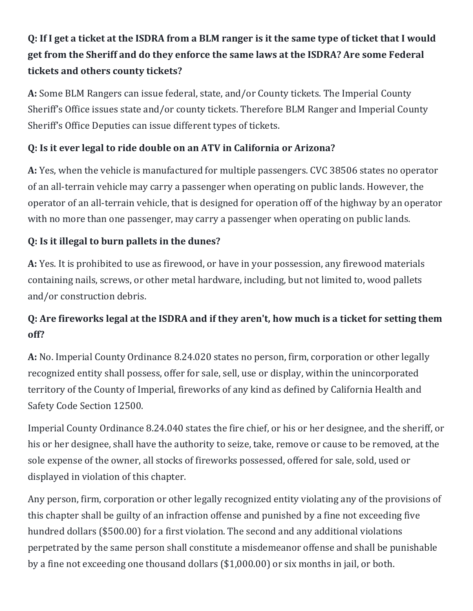# **Q: If I get a ticket at the ISDRA from a BLM ranger is it the same type of ticket that I would get from the Sheriff and do they enforce the same laws at the ISDRA? Are some Federal tickets and others county tickets?**

**A:** Some BLM Rangers can issue federal, state, and/or County tickets. The Imperial County Sheriff's Office issues state and/or county tickets. Therefore BLM Ranger and Imperial County Sheriff's Office Deputies can issue different types of tickets.

#### **Q: Is it ever legal to ride double on an ATV in California or Arizona?**

**A:** Yes, when the vehicle is manufactured for multiple passengers. CVC 38506 states no operator of an all-terrain vehicle may carry a passenger when operating on public lands. However, the operator of an all-terrain vehicle, that is designed for operation off of the highway by an operator with no more than one passenger, may carry a passenger when operating on public lands.

## **Q: Is it illegal to burn pallets in the dunes?**

**A:** Yes. It is prohibited to use as firewood, or have in your possession, any firewood materials containing nails, screws, or other metal hardware, including, but not limited to, wood pallets and/or construction debris.

## **Q: Are fireworks legal at the ISDRA and if they aren't, how much is a ticket for setting them off?**

**A:** No. Imperial County Ordinance 8.24.020 states no person, firm, corporation or other legally recognized entity shall possess, offer for sale, sell, use or display, within the unincorporated territory of the County of Imperial, fireworks of any kind as defined by California Health and Safety Code Section 12500.

Imperial County Ordinance 8.24.040 states the fire chief, or his or her designee, and the sheriff, or his or her designee, shall have the authority to seize, take, remove or cause to be removed, at the sole expense of the owner, all stocks of fireworks possessed, offered for sale, sold, used or displayed in violation of this chapter.

Any person, firm, corporation or other legally recognized entity violating any of the provisions of this chapter shall be guilty of an infraction offense and punished by a fine not exceeding five hundred dollars (\$500.00) for a first violation. The second and any additional violations perpetrated by the same person shall constitute a misdemeanor offense and shall be punishable by a fine not exceeding one thousand dollars (\$1,000.00) or six months in jail, or both.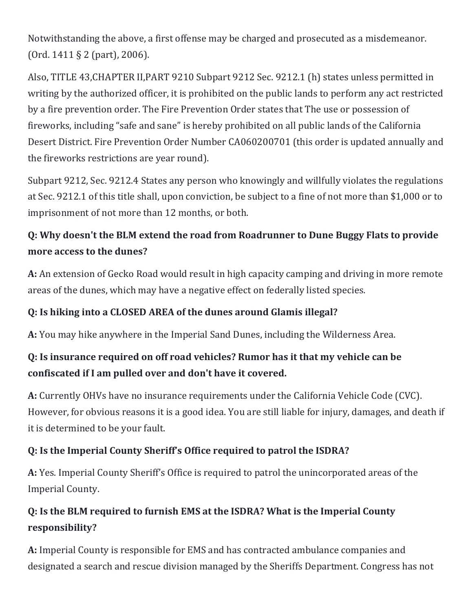Notwithstanding the above, a first offense may be charged and prosecuted as a misdemeanor. (Ord. 1411 § 2 (part), 2006).

Also, TITLE 43,CHAPTER II,PART 9210 Subpart 9212 Sec. 9212.1 (h) states unless permitted in writing by the authorized officer, it is prohibited on the public lands to perform any act restricted by a fire prevention order. The Fire Prevention Order states that The use or possession of fireworks, including "safe and sane" is hereby prohibited on all public lands of the California Desert District. Fire Prevention Order Number CA060200701 (this order is updated annually and the fireworks restrictions are year round).

Subpart 9212, Sec. 9212.4 States any person who knowingly and willfully violates the regulations at Sec. 9212.1 of this title shall, upon conviction, be subject to a fine of not more than \$1,000 or to imprisonment of not more than 12 months, or both.

## **Q: Why doesn't the BLM extend the road from Roadrunner to Dune Buggy Flats to provide more access to the dunes?**

**A:** An extension of Gecko Road would result in high capacity camping and driving in more remote areas of the dunes, which may have a negative effect on federally listed species.

#### **Q: Is hiking into a CLOSED AREA of the dunes around Glamis illegal?**

**A:** You may hike anywhere in the Imperial Sand Dunes, including the Wilderness Area.

## **Q: Is insurance required on off road vehicles? Rumor has it that my vehicle can be confiscated if I am pulled over and don't have it covered.**

**A:** Currently OHVs have no insurance requirements under the California Vehicle Code (CVC). However, for obvious reasons it is a good idea. You are still liable for injury, damages, and death if it is determined to be your fault.

#### **Q: Is the Imperial County Sheriff's Office required to patrol the ISDRA?**

**A:** Yes. Imperial County Sheriff's Office is required to patrol the unincorporated areas of the Imperial County.

## **Q: Is the BLM required to furnish EMS at the ISDRA? What is the Imperial County responsibility?**

**A:** Imperial County is responsible for EMS and has contracted ambulance companies and designated a search and rescue division managed by the Sheriffs Department. Congress has not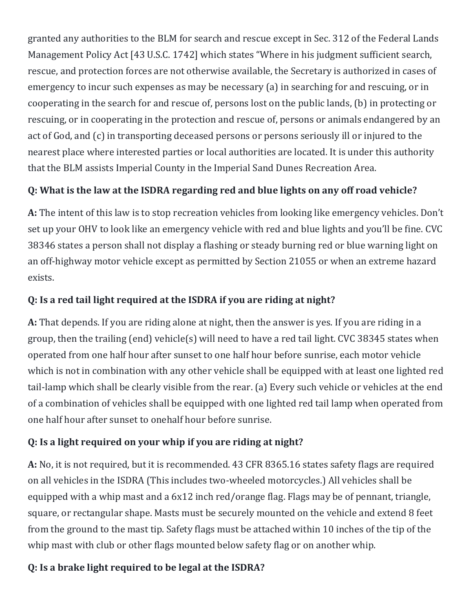granted any authorities to the BLM for search and rescue except in Sec. 312 of the Federal Lands Management Policy Act [43 U.S.C. 1742] which states "Where in his judgment sufficient search, rescue, and protection forces are not otherwise available, the Secretary is authorized in cases of emergency to incur such expenses as may be necessary (a) in searching for and rescuing, or in cooperating in the search for and rescue of, persons lost on the public lands, (b) in protecting or rescuing, or in cooperating in the protection and rescue of, persons or animals endangered by an act of God, and (c) in transporting deceased persons or persons seriously ill or injured to the nearest place where interested parties or local authorities are located. It is under this authority that the BLM assists Imperial County in the Imperial Sand Dunes Recreation Area.

## **Q: What is the law at the ISDRA regarding red and blue lights on any off road vehicle?**

**A:** The intent of this law is to stop recreation vehicles from looking like emergency vehicles. Don't set up your OHV to look like an emergency vehicle with red and blue lights and you'll be fine. CVC 38346 states a person shall not display a flashing or steady burning red or blue warning light on an off-highway motor vehicle except as permitted by Section 21055 or when an extreme hazard exists.

#### **Q: Is a red tail light required at the ISDRA if you are riding at night?**

**A:** That depends. If you are riding alone at night, then the answer is yes. If you are riding in a group, then the trailing (end) vehicle(s) will need to have a red tail light. CVC 38345 states when operated from one half hour after sunset to one half hour before sunrise, each motor vehicle which is not in combination with any other vehicle shall be equipped with at least one lighted red tail-lamp which shall be clearly visible from the rear. (a) Every such vehicle or vehicles at the end of a combination of vehicles shall be equipped with one lighted red tail lamp when operated from one half hour after sunset to onehalf hour before sunrise.

#### **Q: Is a light required on your whip if you are riding at night?**

**A:** No, it is not required, but it is recommended. 43 CFR 8365.16 states safety flags are required on all vehicles in the ISDRA (This includes two-wheeled motorcycles.) All vehicles shall be equipped with a whip mast and a 6x12 inch red/orange flag. Flags may be of pennant, triangle, square, or rectangular shape. Masts must be securely mounted on the vehicle and extend 8 feet from the ground to the mast tip. Safety flags must be attached within 10 inches of the tip of the whip mast with club or other flags mounted below safety flag or on another whip.

#### **Q: Is a brake light required to be legal at the ISDRA?**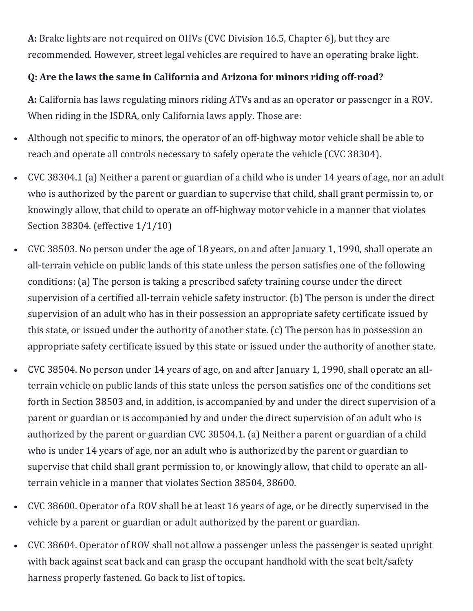**A:** Brake lights are not required on OHVs (CVC Division 16.5, Chapter 6), but they are recommended. However, street legal vehicles are required to have an operating brake light.

#### **Q: Are the laws the same in California and Arizona for minors riding off-road?**

**A:** California has laws regulating minors riding ATVs and as an operator or passenger in a ROV. When riding in the ISDRA, only California laws apply. Those are:

- Although not specific to minors, the operator of an off-highway motor vehicle shall be able to reach and operate all controls necessary to safely operate the vehicle (CVC 38304).
- CVC 38304.1 (a) Neither a parent or guardian of a child who is under 14 years of age, nor an adult who is authorized by the parent or guardian to supervise that child, shall grant permissin to, or knowingly allow, that child to operate an off-highway motor vehicle in a manner that violates Section 38304. (effective 1/1/10)
- CVC 38503. No person under the age of 18 years, on and after January 1, 1990, shall operate an all-terrain vehicle on public lands of this state unless the person satisfies one of the following conditions: (a) The person is taking a prescribed safety training course under the direct supervision of a certified all-terrain vehicle safety instructor. (b) The person is under the direct supervision of an adult who has in their possession an appropriate safety certificate issued by this state, or issued under the authority of another state. (c) The person has in possession an appropriate safety certificate issued by this state or issued under the authority of another state.
- CVC 38504. No person under 14 years of age, on and after January 1, 1990, shall operate an allterrain vehicle on public lands of this state unless the person satisfies one of the conditions set forth in Section 38503 and, in addition, is accompanied by and under the direct supervision of a parent or guardian or is accompanied by and under the direct supervision of an adult who is authorized by the parent or guardian CVC 38504.1. (a) Neither a parent or guardian of a child who is under 14 years of age, nor an adult who is authorized by the parent or guardian to supervise that child shall grant permission to, or knowingly allow, that child to operate an allterrain vehicle in a manner that violates Section 38504, 38600.
- CVC 38600. Operator of a ROV shall be at least 16 years of age, or be directly supervised in the vehicle by a parent or guardian or adult authorized by the parent or guardian.
- CVC 38604. Operator of ROV shall not allow a passenger unless the passenger is seated upright with back against seat back and can grasp the occupant handhold with the seat belt/safety harness properly fastened. Go back to list of topics.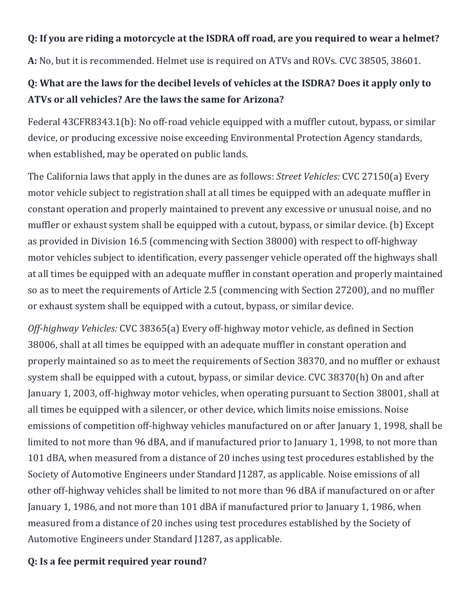#### **Q: If you are riding a motorcycle at the ISDRA off road, are you required to wear a helmet?**

**A:** No, but it is recommended. Helmet use is required on ATVs and ROVs. CVC 38505, 38601.

## **Q: What are the laws for the decibel levels of vehicles at the ISDRA? Does it apply only to ATVs or all vehicles? Are the laws the same for Arizona?**

Federal 43CFR8343.1(b): No off-road vehicle equipped with a muffler cutout, bypass, or similar device, or producing excessive noise exceeding Environmental Protection Agency standards, when established, may be operated on public lands.

The California laws that apply in the dunes are as follows: *Street Vehicles:* CVC 27150(a) Every motor vehicle subject to registration shall at all times be equipped with an adequate muffler in constant operation and properly maintained to prevent any excessive or unusual noise, and no muffler or exhaust system shall be equipped with a cutout, bypass, or similar device. (b) Except as provided in Division 16.5 (commencing with Section 38000) with respect to off-highway motor vehicles subject to identification, every passenger vehicle operated off the highways shall at all times be equipped with an adequate muffler in constant operation and properly maintained so as to meet the requirements of Article 2.5 (commencing with Section 27200), and no muffler or exhaust system shall be equipped with a cutout, bypass, or similar device.

*Off-highway Vehicles:* CVC 38365(a) Every off-highway motor vehicle, as defined in Section 38006, shall at all times be equipped with an adequate muffler in constant operation and properly maintained so as to meet the requirements of Section 38370, and no muffler or exhaust system shall be equipped with a cutout, bypass, or similar device. CVC 38370(h) On and after January 1, 2003, off-highway motor vehicles, when operating pursuant to Section 38001, shall at all times be equipped with a silencer, or other device, which limits noise emissions. Noise emissions of competition off-highway vehicles manufactured on or after January 1, 1998, shall be limited to not more than 96 dBA, and if manufactured prior to January 1, 1998, to not more than 101 dBA, when measured from a distance of 20 inches using test procedures established by the Society of Automotive Engineers under Standard J1287, as applicable. Noise emissions of all other off-highway vehicles shall be limited to not more than 96 dBA if manufactured on or after January 1, 1986, and not more than 101 dBA if manufactured prior to January 1, 1986, when measured from a distance of 20 inches using test procedures established by the Society of Automotive Engineers under Standard J1287, as applicable.

#### **Q: Is a fee permit required year round?**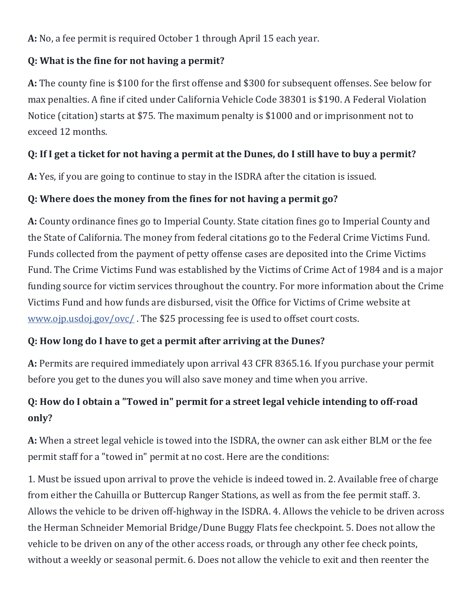**A:** No, a fee permit is required October 1 through April 15 each year.

#### **Q: What is the fine for not having a permit?**

**A:** The county fine is \$100 for the first offense and \$300 for subsequent offenses. See below for max penalties. A fine if cited under California Vehicle Code 38301 is \$190. A Federal Violation Notice (citation) starts at \$75. The maximum penalty is \$1000 and or imprisonment not to exceed 12 months.

## **Q: If I get a ticket for not having a permit at the Dunes, do I still have to buy a permit?**

**A:** Yes, if you are going to continue to stay in the ISDRA after the citation is issued.

## **Q: Where does the money from the fines for not having a permit go?**

**A:** County ordinance fines go to Imperial County. State citation fines go to Imperial County and the State of California. The money from federal citations go to the Federal Crime Victims Fund. Funds collected from the payment of petty offense cases are deposited into the Crime Victims Fund. The Crime Victims Fund was established by the Victims of Crime Act of 1984 and is a major funding source for victim services throughout the country. For more information about the Crime Victims Fund and how funds are disbursed, visit the Office for Victims of Crime website at [www.ojp.usdoj.gov/ovc/](https://l.facebook.com/l.php?u=http%3A%2F%2Fwww.ojp.usdoj.gov%2Fovc%2F&h=ATP8jBEcSKNE8PUJYpi3QrnEnF1xYNQ57V6-keVlLf8wSW9TLpLW9mAMGdKtb9rFQZkkfwB0FhNpSEho4Ol_aVD3aZKkdhPSJ7fAdJ5msgLyvJWs-NmvWenepZtP9JTM5wRQmC9o30UI0g) . The \$25 processing fee is used to offset court costs.

#### **Q: How long do I have to get a permit after arriving at the Dunes?**

**A:** Permits are required immediately upon arrival 43 CFR 8365.16. If you purchase your permit before you get to the dunes you will also save money and time when you arrive.

## **Q: How do I obtain a "Towed in" permit for a street legal vehicle intending to off-road only?**

**A:** When a street legal vehicle is towed into the ISDRA, the owner can ask either BLM or the fee permit staff for a "towed in" permit at no cost. Here are the conditions:

1. Must be issued upon arrival to prove the vehicle is indeed towed in. 2. Available free of charge from either the Cahuilla or Buttercup Ranger Stations, as well as from the fee permit staff. 3. Allows the vehicle to be driven off-highway in the ISDRA. 4. Allows the vehicle to be driven across the Herman Schneider Memorial Bridge/Dune Buggy Flats fee checkpoint. 5. Does not allow the vehicle to be driven on any of the other access roads, or through any other fee check points, without a weekly or seasonal permit. 6. Does not allow the vehicle to exit and then reenter the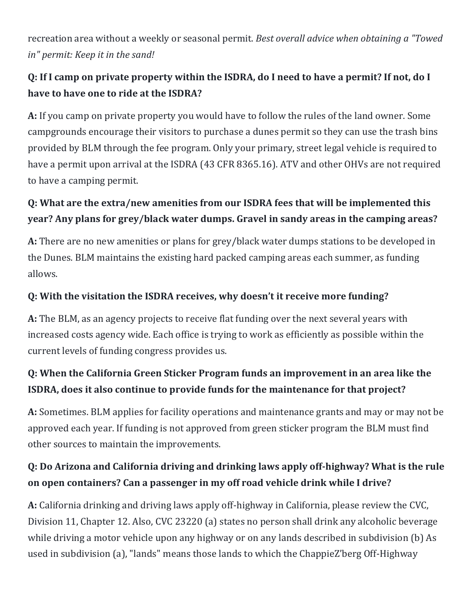recreation area without a weekly or seasonal permit. *Best overall advice when obtaining a "Towed in" permit: Keep it in the sand!*

## **Q: If I camp on private property within the ISDRA, do I need to have a permit? If not, do I have to have one to ride at the ISDRA?**

**A:** If you camp on private property you would have to follow the rules of the land owner. Some campgrounds encourage their visitors to purchase a dunes permit so they can use the trash bins provided by BLM through the fee program. Only your primary, street legal vehicle is required to have a permit upon arrival at the ISDRA (43 CFR 8365.16). ATV and other OHVs are not required to have a camping permit.

# **Q: What are the extra/new amenities from our ISDRA fees that will be implemented this year? Any plans for grey/black water dumps. Gravel in sandy areas in the camping areas?**

**A:** There are no new amenities or plans for grey/black water dumps stations to be developed in the Dunes. BLM maintains the existing hard packed camping areas each summer, as funding allows.

## **Q: With the visitation the ISDRA receives, why doesn't it receive more funding?**

**A:** The BLM, as an agency projects to receive flat funding over the next several years with increased costs agency wide. Each office is trying to work as efficiently as possible within the current levels of funding congress provides us.

# **Q: When the California Green Sticker Program funds an improvement in an area like the ISDRA, does it also continue to provide funds for the maintenance for that project?**

**A:** Sometimes. BLM applies for facility operations and maintenance grants and may or may not be approved each year. If funding is not approved from green sticker program the BLM must find other sources to maintain the improvements.

# **Q: Do Arizona and California driving and drinking laws apply off-highway? What is the rule on open containers? Can a passenger in my off road vehicle drink while I drive?**

**A:** California drinking and driving laws apply off-highway in California, please review the CVC, Division 11, Chapter 12. Also, CVC 23220 (a) states no person shall drink any alcoholic beverage while driving a motor vehicle upon any highway or on any lands described in subdivision (b) As used in subdivision (a), "lands" means those lands to which the ChappieZ'berg Off-Highway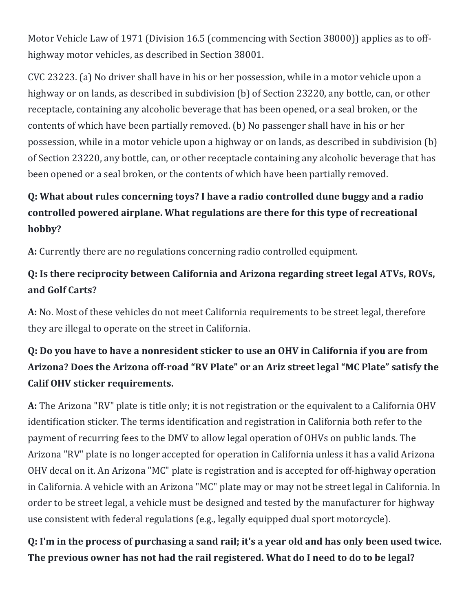Motor Vehicle Law of 1971 (Division 16.5 (commencing with Section 38000)) applies as to offhighway motor vehicles, as described in Section 38001.

CVC 23223. (a) No driver shall have in his or her possession, while in a motor vehicle upon a highway or on lands, as described in subdivision (b) of Section 23220, any bottle, can, or other receptacle, containing any alcoholic beverage that has been opened, or a seal broken, or the contents of which have been partially removed. (b) No passenger shall have in his or her possession, while in a motor vehicle upon a highway or on lands, as described in subdivision (b) of Section 23220, any bottle, can, or other receptacle containing any alcoholic beverage that has been opened or a seal broken, or the contents of which have been partially removed.

# **Q: What about rules concerning toys? I have a radio controlled dune buggy and a radio controlled powered airplane. What regulations are there for this type of recreational hobby?**

**A:** Currently there are no regulations concerning radio controlled equipment.

## **Q: Is there reciprocity between California and Arizona regarding street legal ATVs, ROVs, and Golf Carts?**

**A:** No. Most of these vehicles do not meet California requirements to be street legal, therefore they are illegal to operate on the street in California.

# **Q: Do you have to have a nonresident sticker to use an OHV in California if you are from Arizona? Does the Arizona off-road "RV Plate" or an Ariz street legal "MC Plate" satisfy the Calif OHV sticker requirements.**

**A:** The Arizona "RV" plate is title only; it is not registration or the equivalent to a California OHV identification sticker. The terms identification and registration in California both refer to the payment of recurring fees to the DMV to allow legal operation of OHVs on public lands. The Arizona "RV" plate is no longer accepted for operation in California unless it has a valid Arizona OHV decal on it. An Arizona "MC" plate is registration and is accepted for off-highway operation in California. A vehicle with an Arizona "MC" plate may or may not be street legal in California. In order to be street legal, a vehicle must be designed and tested by the manufacturer for highway use consistent with federal regulations (e.g., legally equipped dual sport motorcycle).

**Q: I'm in the process of purchasing a sand rail; it's a year old and has only been used twice. The previous owner has not had the rail registered. What do I need to do to be legal?**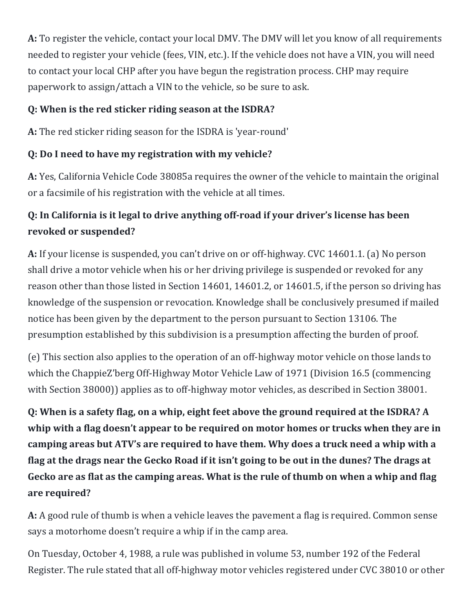**A:** To register the vehicle, contact your local DMV. The DMV will let you know of all requirements needed to register your vehicle (fees, VIN, etc.). If the vehicle does not have a VIN, you will need to contact your local CHP after you have begun the registration process. CHP may require paperwork to assign/attach a VIN to the vehicle, so be sure to ask.

#### **Q: When is the red sticker riding season at the ISDRA?**

**A:** The red sticker riding season for the ISDRA is 'year-round'

## **Q: Do I need to have my registration with my vehicle?**

**A:** Yes, California Vehicle Code 38085a requires the owner of the vehicle to maintain the original or a facsimile of his registration with the vehicle at all times.

# **Q: In California is it legal to drive anything off-road if your driver's license has been revoked or suspended?**

**A:** If your license is suspended, you can't drive on or off-highway. CVC 14601.1. (a) No person shall drive a motor vehicle when his or her driving privilege is suspended or revoked for any reason other than those listed in Section 14601, 14601.2, or 14601.5, if the person so driving has knowledge of the suspension or revocation. Knowledge shall be conclusively presumed if mailed notice has been given by the department to the person pursuant to Section 13106. The presumption established by this subdivision is a presumption affecting the burden of proof.

(e) This section also applies to the operation of an off-highway motor vehicle on those lands to which the ChappieZ'berg Off-Highway Motor Vehicle Law of 1971 (Division 16.5 (commencing with Section 38000)) applies as to off-highway motor vehicles, as described in Section 38001.

**Q: When is a safety flag, on a whip, eight feet above the ground required at the ISDRA? A whip with a flag doesn't appear to be required on motor homes or trucks when they are in camping areas but ATV's are required to have them. Why does a truck need a whip with a flag at the drags near the Gecko Road if it isn't going to be out in the dunes? The drags at Gecko are as flat as the camping areas. What is the rule of thumb on when a whip and flag are required?**

**A:** A good rule of thumb is when a vehicle leaves the pavement a flag is required. Common sense says a motorhome doesn't require a whip if in the camp area.

On Tuesday, October 4, 1988, a rule was published in volume 53, number 192 of the Federal Register. The rule stated that all off-highway motor vehicles registered under CVC 38010 or other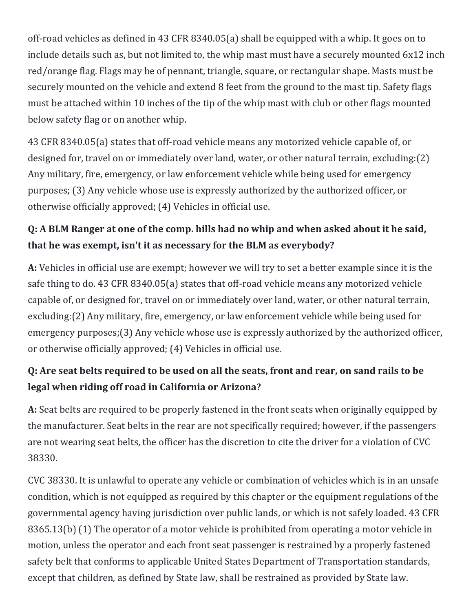off-road vehicles as defined in 43 CFR 8340.05(a) shall be equipped with a whip. It goes on to include details such as, but not limited to, the whip mast must have a securely mounted 6x12 inch red/orange flag. Flags may be of pennant, triangle, square, or rectangular shape. Masts must be securely mounted on the vehicle and extend 8 feet from the ground to the mast tip. Safety flags must be attached within 10 inches of the tip of the whip mast with club or other flags mounted below safety flag or on another whip.

43 CFR 8340.05(a) states that off-road vehicle means any motorized vehicle capable of, or designed for, travel on or immediately over land, water, or other natural terrain, excluding:(2) Any military, fire, emergency, or law enforcement vehicle while being used for emergency purposes; (3) Any vehicle whose use is expressly authorized by the authorized officer, or otherwise officially approved; (4) Vehicles in official use.

## **Q: A BLM Ranger at one of the comp. hills had no whip and when asked about it he said, that he was exempt, isn't it as necessary for the BLM as everybody?**

**A:** Vehicles in official use are exempt; however we will try to set a better example since it is the safe thing to do. 43 CFR 8340.05(a) states that off-road vehicle means any motorized vehicle capable of, or designed for, travel on or immediately over land, water, or other natural terrain, excluding:(2) Any military, fire, emergency, or law enforcement vehicle while being used for emergency purposes;(3) Any vehicle whose use is expressly authorized by the authorized officer, or otherwise officially approved; (4) Vehicles in official use.

## **Q: Are seat belts required to be used on all the seats, front and rear, on sand rails to be legal when riding off road in California or Arizona?**

**A:** Seat belts are required to be properly fastened in the front seats when originally equipped by the manufacturer. Seat belts in the rear are not specifically required; however, if the passengers are not wearing seat belts, the officer has the discretion to cite the driver for a violation of CVC 38330.

CVC 38330. It is unlawful to operate any vehicle or combination of vehicles which is in an unsafe condition, which is not equipped as required by this chapter or the equipment regulations of the governmental agency having jurisdiction over public lands, or which is not safely loaded. 43 CFR 8365.13(b) (1) The operator of a motor vehicle is prohibited from operating a motor vehicle in motion, unless the operator and each front seat passenger is restrained by a properly fastened safety belt that conforms to applicable United States Department of Transportation standards, except that children, as defined by State law, shall be restrained as provided by State law.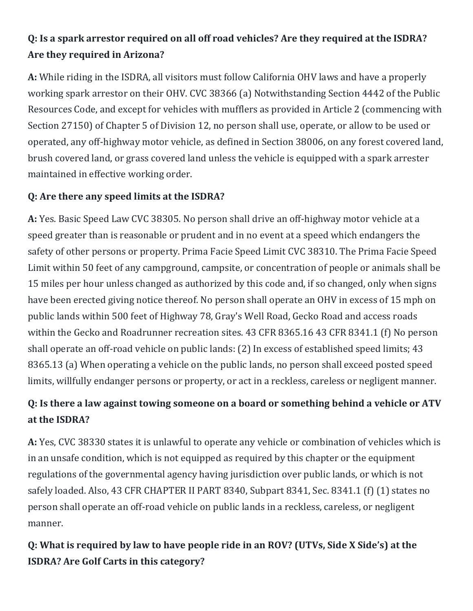# **Q: Is a spark arrestor required on all off road vehicles? Are they required at the ISDRA? Are they required in Arizona?**

**A:** While riding in the ISDRA, all visitors must follow California OHV laws and have a properly working spark arrestor on their OHV. CVC 38366 (a) Notwithstanding Section 4442 of the Public Resources Code, and except for vehicles with mufflers as provided in Article 2 (commencing with Section 27150) of Chapter 5 of Division 12, no person shall use, operate, or allow to be used or operated, any off-highway motor vehicle, as defined in Section 38006, on any forest covered land, brush covered land, or grass covered land unless the vehicle is equipped with a spark arrester maintained in effective working order.

#### **Q: Are there any speed limits at the ISDRA?**

**A:** Yes. Basic Speed Law CVC 38305. No person shall drive an off-highway motor vehicle at a speed greater than is reasonable or prudent and in no event at a speed which endangers the safety of other persons or property. Prima Facie Speed Limit CVC 38310. The Prima Facie Speed Limit within 50 feet of any campground, campsite, or concentration of people or animals shall be 15 miles per hour unless changed as authorized by this code and, if so changed, only when signs have been erected giving notice thereof. No person shall operate an OHV in excess of 15 mph on public lands within 500 feet of Highway 78, Gray's Well Road, Gecko Road and access roads within the Gecko and Roadrunner recreation sites. 43 CFR 8365.16 43 CFR 8341.1 (f) No person shall operate an off-road vehicle on public lands: (2) In excess of established speed limits; 43 8365.13 (a) When operating a vehicle on the public lands, no person shall exceed posted speed limits, willfully endanger persons or property, or act in a reckless, careless or negligent manner.

## **Q: Is there a law against towing someone on a board or something behind a vehicle or ATV at the ISDRA?**

**A:** Yes, CVC 38330 states it is unlawful to operate any vehicle or combination of vehicles which is in an unsafe condition, which is not equipped as required by this chapter or the equipment regulations of the governmental agency having jurisdiction over public lands, or which is not safely loaded. Also, 43 CFR CHAPTER II PART 8340, Subpart 8341, Sec. 8341.1 (f) (1) states no person shall operate an off-road vehicle on public lands in a reckless, careless, or negligent manner.

## **Q: What is required by law to have people ride in an ROV? (UTVs, Side X Side's) at the ISDRA? Are Golf Carts in this category?**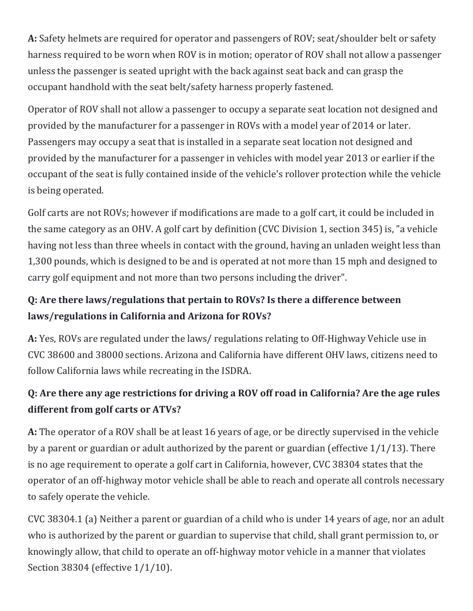**A:** Safety helmets are required for operator and passengers of ROV; seat/shoulder belt or safety harness required to be worn when ROV is in motion; operator of ROV shall not allow a passenger unless the passenger is seated upright with the back against seat back and can grasp the occupant handhold with the seat belt/safety harness properly fastened.

Operator of ROV shall not allow a passenger to occupy a separate seat location not designed and provided by the manufacturer for a passenger in ROVs with a model year of 2014 or later. Passengers may occupy a seat that is installed in a separate seat location not designed and provided by the manufacturer for a passenger in vehicles with model year 2013 or earlier if the occupant of the seat is fully contained inside of the vehicle's rollover protection while the vehicle is being operated.

Golf carts are not ROVs; however if modifications are made to a golf cart, it could be included in the same category as an OHV. A golf cart by definition (CVC Division 1, section 345) is, "a vehicle having not less than three wheels in contact with the ground, having an unladen weight less than 1,300 pounds, which is designed to be and is operated at not more than 15 mph and designed to carry golf equipment and not more than two persons including the driver".

## **Q: Are there laws/regulations that pertain to ROVs? Is there a difference between laws/regulations in California and Arizona for ROVs?**

**A:** Yes, ROVs are regulated under the laws/ regulations relating to Off-Highway Vehicle use in CVC 38600 and 38000 sections. Arizona and California have different OHV laws, citizens need to follow California laws while recreating in the ISDRA.

## **Q: Are there any age restrictions for driving a ROV off road in California? Are the age rules different from golf carts or ATVs?**

**A:** The operator of a ROV shall be at least 16 years of age, or be directly supervised in the vehicle by a parent or guardian or adult authorized by the parent or guardian (effective 1/1/13). There is no age requirement to operate a golf cart in California, however, CVC 38304 states that the operator of an off-highway motor vehicle shall be able to reach and operate all controls necessary to safely operate the vehicle.

CVC 38304.1 (a) Neither a parent or guardian of a child who is under 14 years of age, nor an adult who is authorized by the parent or guardian to supervise that child, shall grant permission to, or knowingly allow, that child to operate an off-highway motor vehicle in a manner that violates Section 38304 (effective 1/1/10).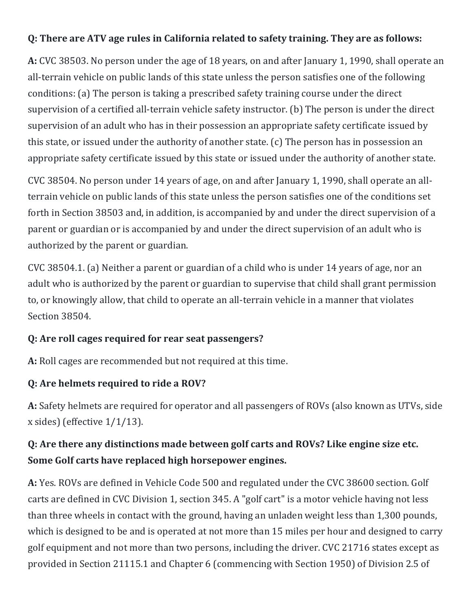#### **Q: There are ATV age rules in California related to safety training. They are as follows:**

**A:** CVC 38503. No person under the age of 18 years, on and after January 1, 1990, shall operate an all-terrain vehicle on public lands of this state unless the person satisfies one of the following conditions: (a) The person is taking a prescribed safety training course under the direct supervision of a certified all-terrain vehicle safety instructor. (b) The person is under the direct supervision of an adult who has in their possession an appropriate safety certificate issued by this state, or issued under the authority of another state. (c) The person has in possession an appropriate safety certificate issued by this state or issued under the authority of another state.

CVC 38504. No person under 14 years of age, on and after January 1, 1990, shall operate an allterrain vehicle on public lands of this state unless the person satisfies one of the conditions set forth in Section 38503 and, in addition, is accompanied by and under the direct supervision of a parent or guardian or is accompanied by and under the direct supervision of an adult who is authorized by the parent or guardian.

CVC 38504.1. (a) Neither a parent or guardian of a child who is under 14 years of age, nor an adult who is authorized by the parent or guardian to supervise that child shall grant permission to, or knowingly allow, that child to operate an all-terrain vehicle in a manner that violates Section 38504.

#### **Q: Are roll cages required for rear seat passengers?**

**A:** Roll cages are recommended but not required at this time.

#### **Q: Are helmets required to ride a ROV?**

**A:** Safety helmets are required for operator and all passengers of ROVs (also known as UTVs, side x sides) (effective 1/1/13).

## **Q: Are there any distinctions made between golf carts and ROVs? Like engine size etc. Some Golf carts have replaced high horsepower engines.**

**A:** Yes. ROVs are defined in Vehicle Code 500 and regulated under the CVC 38600 section. Golf carts are defined in CVC Division 1, section 345. A "golf cart" is a motor vehicle having not less than three wheels in contact with the ground, having an unladen weight less than 1,300 pounds, which is designed to be and is operated at not more than 15 miles per hour and designed to carry golf equipment and not more than two persons, including the driver. CVC 21716 states except as provided in Section 21115.1 and Chapter 6 (commencing with Section 1950) of Division 2.5 of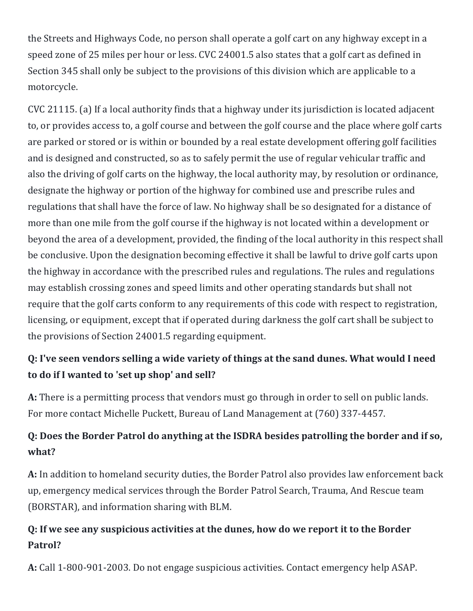the Streets and Highways Code, no person shall operate a golf cart on any highway except in a speed zone of 25 miles per hour or less. CVC 24001.5 also states that a golf cart as defined in Section 345 shall only be subject to the provisions of this division which are applicable to a motorcycle.

CVC 21115. (a) If a local authority finds that a highway under its jurisdiction is located adjacent to, or provides access to, a golf course and between the golf course and the place where golf carts are parked or stored or is within or bounded by a real estate development offering golf facilities and is designed and constructed, so as to safely permit the use of regular vehicular traffic and also the driving of golf carts on the highway, the local authority may, by resolution or ordinance, designate the highway or portion of the highway for combined use and prescribe rules and regulations that shall have the force of law. No highway shall be so designated for a distance of more than one mile from the golf course if the highway is not located within a development or beyond the area of a development, provided, the finding of the local authority in this respect shall be conclusive. Upon the designation becoming effective it shall be lawful to drive golf carts upon the highway in accordance with the prescribed rules and regulations. The rules and regulations may establish crossing zones and speed limits and other operating standards but shall not require that the golf carts conform to any requirements of this code with respect to registration, licensing, or equipment, except that if operated during darkness the golf cart shall be subject to the provisions of Section 24001.5 regarding equipment.

## **Q: I've seen vendors selling a wide variety of things at the sand dunes. What would I need to do if I wanted to 'set up shop' and sell?**

**A:** There is a permitting process that vendors must go through in order to sell on public lands. For more contact Michelle Puckett, Bureau of Land Management at (760) 337-4457.

## **Q: Does the Border Patrol do anything at the ISDRA besides patrolling the border and if so, what?**

**A:** In addition to homeland security duties, the Border Patrol also provides law enforcement back up, emergency medical services through the Border Patrol Search, Trauma, And Rescue team (BORSTAR), and information sharing with BLM.

## **Q: If we see any suspicious activities at the dunes, how do we report it to the Border Patrol?**

**A:** Call 1-800-901-2003. Do not engage suspicious activities. Contact emergency help ASAP.